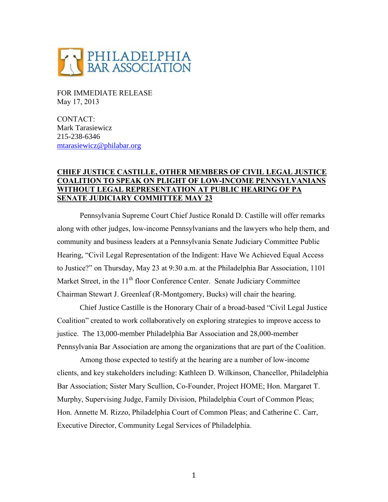

FOR IMMEDIATE RELEASE May 17, 2013

CONTACT: Mark Tarasiewicz 215-238-6346 [mtarasiewicz@philabar.org](mailto:mtarasiewicz@philabar.org)

## **CHIEF JUSTICE CASTILLE, OTHER MEMBERS OF CIVIL LEGAL JUSTICE COALITION TO SPEAK ON PLIGHT OF LOW-INCOME PENNSYLVANIANS WITHOUT LEGAL REPRESENTATION AT PUBLIC HEARING OF PA SENATE JUDICIARY COMMITTEE MAY 23**

Pennsylvania Supreme Court Chief Justice Ronald D. Castille will offer remarks along with other judges, low-income Pennsylvanians and the lawyers who help them, and community and business leaders at a Pennsylvania Senate Judiciary Committee Public Hearing, "Civil Legal Representation of the Indigent: Have We Achieved Equal Access to Justice?" on Thursday, May 23 at 9:30 a.m. at the Philadelphia Bar Association, 1101 Market Street, in the 11<sup>th</sup> floor Conference Center. Senate Judiciary Committee Chairman Stewart J. Greenleaf (R-Montgomery, Bucks) will chair the hearing.

Chief Justice Castille is the Honorary Chair of a broad-based "Civil Legal Justice Coalition" created to work collaboratively on exploring strategies to improve access to justice. The 13,000-member Philadelphia Bar Association and 28,000-member Pennsylvania Bar Association are among the organizations that are part of the Coalition.

Among those expected to testify at the hearing are a number of low-income clients, and key stakeholders including: Kathleen D. Wilkinson, Chancellor, Philadelphia Bar Association; Sister Mary Scullion, Co-Founder, Project HOME; Hon. Margaret T. Murphy, Supervising Judge, Family Division, Philadelphia Court of Common Pleas; Hon. Annette M. Rizzo, Philadelphia Court of Common Pleas; and Catherine C. Carr, Executive Director, Community Legal Services of Philadelphia.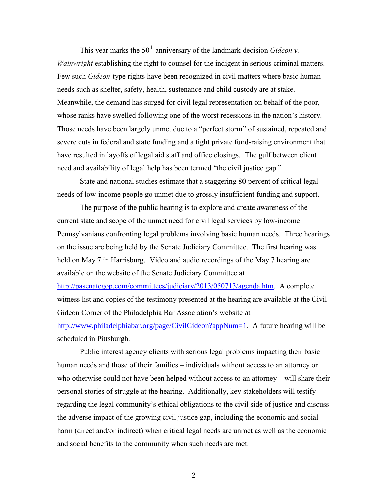This year marks the  $50<sup>th</sup>$  anniversary of the landmark decision *Gideon v*. *Wainwright* establishing the right to counsel for the indigent in serious criminal matters. Few such *Gideon*-type rights have been recognized in civil matters where basic human needs such as shelter, safety, health, sustenance and child custody are at stake. Meanwhile, the demand has surged for civil legal representation on behalf of the poor, whose ranks have swelled following one of the worst recessions in the nation's history. Those needs have been largely unmet due to a "perfect storm" of sustained, repeated and severe cuts in federal and state funding and a tight private fund-raising environment that have resulted in layoffs of legal aid staff and office closings. The gulf between client need and availability of legal help has been termed "the civil justice gap."

State and national studies estimate that a staggering 80 percent of critical legal needs of low-income people go unmet due to grossly insufficient funding and support.

The purpose of the public hearing is to explore and create awareness of the current state and scope of the unmet need for civil legal services by low-income Pennsylvanians confronting legal problems involving basic human needs. Three hearings on the issue are being held by the Senate Judiciary Committee. The first hearing was held on May 7 in Harrisburg. Video and audio recordings of the May 7 hearing are available on the website of the Senate Judiciary Committee at [http://pasenategop.com/committees/judiciary/2013/050713/agenda.htm.](http://pasenategop.com/committees/judiciary/2013/050713/agenda.htm) A complete witness list and copies of the testimony presented at the hearing are available at the Civil Gideon Corner of the Philadelphia Bar Association's website at [http://www.philadelphiabar.org/page/CivilGideon?appNum=1.](http://www.philadelphiabar.org/page/CivilGideon?appNum=1) A future hearing will be scheduled in Pittsburgh.

Public interest agency clients with serious legal problems impacting their basic human needs and those of their families – individuals without access to an attorney or who otherwise could not have been helped without access to an attorney – will share their personal stories of struggle at the hearing. Additionally, key stakeholders will testify regarding the legal community's ethical obligations to the civil side of justice and discuss the adverse impact of the growing civil justice gap, including the economic and social harm (direct and/or indirect) when critical legal needs are unmet as well as the economic and social benefits to the community when such needs are met.

2